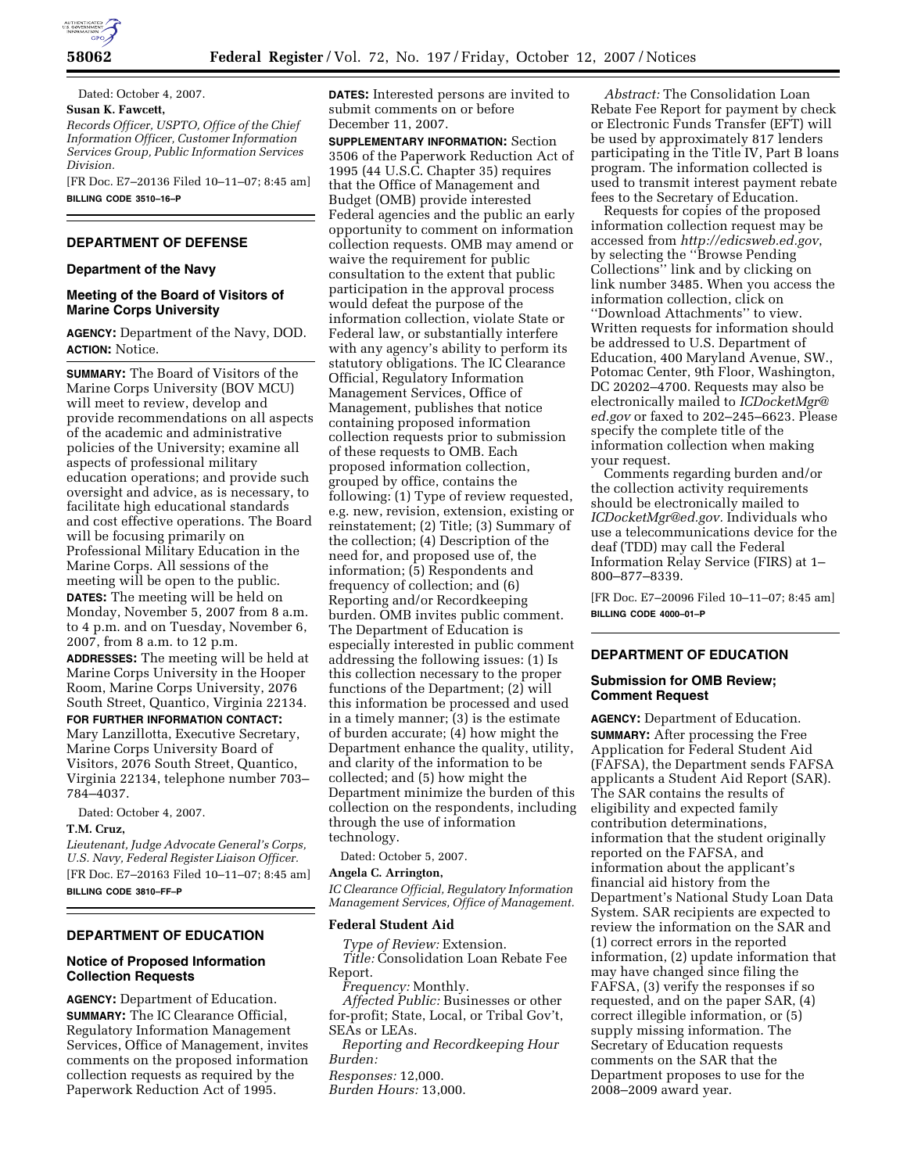

Dated: October 4, 2007. **Susan K. Fawcett,**  *Records Officer, USPTO, Office of the Chief* 

*Information Officer, Customer Information Services Group, Public Information Services Division.* 

[FR Doc. E7–20136 Filed 10–11–07; 8:45 am] **BILLING CODE 3510–16–P** 

# **DEPARTMENT OF DEFENSE**

### **Department of the Navy**

## **Meeting of the Board of Visitors of Marine Corps University**

**AGENCY:** Department of the Navy, DOD. **ACTION:** Notice.

**SUMMARY:** The Board of Visitors of the Marine Corps University (BOV MCU) will meet to review, develop and provide recommendations on all aspects of the academic and administrative policies of the University; examine all aspects of professional military education operations; and provide such oversight and advice, as is necessary, to facilitate high educational standards and cost effective operations. The Board will be focusing primarily on Professional Military Education in the Marine Corps. All sessions of the meeting will be open to the public. **DATES:** The meeting will be held on Monday, November 5, 2007 from 8 a.m. to 4 p.m. and on Tuesday, November 6, 2007, from 8 a.m. to 12 p.m.

**ADDRESSES:** The meeting will be held at Marine Corps University in the Hooper Room, Marine Corps University, 2076 South Street, Quantico, Virginia 22134.

**FOR FURTHER INFORMATION CONTACT:** 

Mary Lanzillotta, Executive Secretary, Marine Corps University Board of Visitors, 2076 South Street, Quantico, Virginia 22134, telephone number 703– 784–4037.

Dated: October 4, 2007.

## **T.M. Cruz,**

*Lieutenant, Judge Advocate General's Corps, U.S. Navy, Federal Register Liaison Officer.*  [FR Doc. E7–20163 Filed 10–11–07; 8:45 am] **BILLING CODE 3810–FF–P** 

# **DEPARTMENT OF EDUCATION**

## **Notice of Proposed Information Collection Requests**

**AGENCY:** Department of Education. **SUMMARY:** The IC Clearance Official, Regulatory Information Management Services, Office of Management, invites comments on the proposed information collection requests as required by the Paperwork Reduction Act of 1995.

**DATES:** Interested persons are invited to submit comments on or before December 11, 2007.

**SUPPLEMENTARY INFORMATION:** Section 3506 of the Paperwork Reduction Act of 1995 (44 U.S.C. Chapter 35) requires that the Office of Management and Budget (OMB) provide interested Federal agencies and the public an early opportunity to comment on information collection requests. OMB may amend or waive the requirement for public consultation to the extent that public participation in the approval process would defeat the purpose of the information collection, violate State or Federal law, or substantially interfere with any agency's ability to perform its statutory obligations. The IC Clearance Official, Regulatory Information Management Services, Office of Management, publishes that notice containing proposed information collection requests prior to submission of these requests to OMB. Each proposed information collection, grouped by office, contains the following: (1) Type of review requested, e.g. new, revision, extension, existing or reinstatement; (2) Title; (3) Summary of the collection; (4) Description of the need for, and proposed use of, the information; (5) Respondents and frequency of collection; and (6) Reporting and/or Recordkeeping burden. OMB invites public comment. The Department of Education is especially interested in public comment addressing the following issues: (1) Is this collection necessary to the proper functions of the Department; (2) will this information be processed and used in a timely manner; (3) is the estimate of burden accurate; (4) how might the Department enhance the quality, utility, and clarity of the information to be collected; and (5) how might the Department minimize the burden of this collection on the respondents, including through the use of information technology.

Dated: October 5, 2007.

**Angela C. Arrington,** 

*IC Clearance Official, Regulatory Information Management Services, Office of Management.* 

### **Federal Student Aid**

*Type of Review:* Extension. *Title:* Consolidation Loan Rebate Fee Report.

*Frequency:* Monthly.

*Affected Public:* Businesses or other for-profit; State, Local, or Tribal Gov't, SEAs or LEAs.

*Reporting and Recordkeeping Hour Burden:* 

*Responses:* 12,000.

*Burden Hours:* 13,000.

*Abstract:* The Consolidation Loan Rebate Fee Report for payment by check or Electronic Funds Transfer (EFT) will be used by approximately 817 lenders participating in the Title IV, Part B loans program. The information collected is used to transmit interest payment rebate fees to the Secretary of Education.

Requests for copies of the proposed information collection request may be accessed from *http://edicsweb.ed.gov*, by selecting the ''Browse Pending Collections'' link and by clicking on link number 3485. When you access the information collection, click on ''Download Attachments'' to view. Written requests for information should be addressed to U.S. Department of Education, 400 Maryland Avenue, SW., Potomac Center, 9th Floor, Washington, DC 20202–4700. Requests may also be electronically mailed to *ICDocketMgr@ ed.gov* or faxed to 202–245–6623. Please specify the complete title of the information collection when making your request.

Comments regarding burden and/or the collection activity requirements should be electronically mailed to *ICDocketMgr@ed.gov.* Individuals who use a telecommunications device for the deaf (TDD) may call the Federal Information Relay Service (FIRS) at 1– 800–877–8339.

[FR Doc. E7–20096 Filed 10–11–07; 8:45 am] **BILLING CODE 4000–01–P** 

## **DEPARTMENT OF EDUCATION**

## **Submission for OMB Review; Comment Request**

**AGENCY:** Department of Education. **SUMMARY:** After processing the Free Application for Federal Student Aid (FAFSA), the Department sends FAFSA applicants a Student Aid Report (SAR). The SAR contains the results of eligibility and expected family contribution determinations, information that the student originally reported on the FAFSA, and information about the applicant's financial aid history from the Department's National Study Loan Data System. SAR recipients are expected to review the information on the SAR and (1) correct errors in the reported information, (2) update information that may have changed since filing the FAFSA, (3) verify the responses if so requested, and on the paper SAR, (4) correct illegible information, or (5) supply missing information. The Secretary of Education requests comments on the SAR that the Department proposes to use for the 2008–2009 award year.